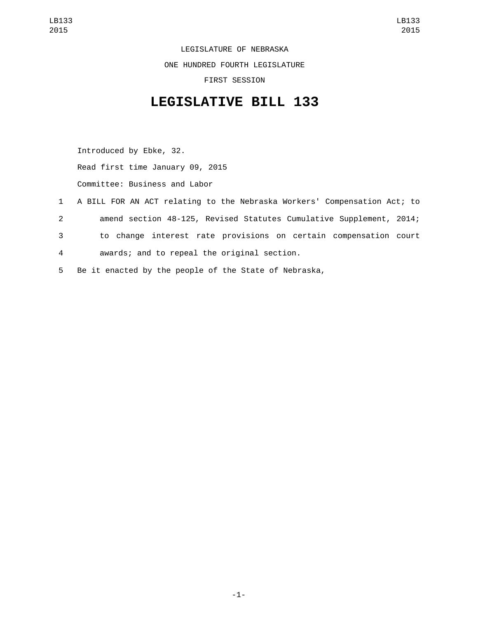LEGISLATURE OF NEBRASKA ONE HUNDRED FOURTH LEGISLATURE FIRST SESSION

## **LEGISLATIVE BILL 133**

Introduced by Ebke, 32. Read first time January 09, 2015 Committee: Business and Labor

 A BILL FOR AN ACT relating to the Nebraska Workers' Compensation Act; to amend section 48-125, Revised Statutes Cumulative Supplement, 2014; to change interest rate provisions on certain compensation court awards; and to repeal the original section.4 Be it enacted by the people of the State of Nebraska,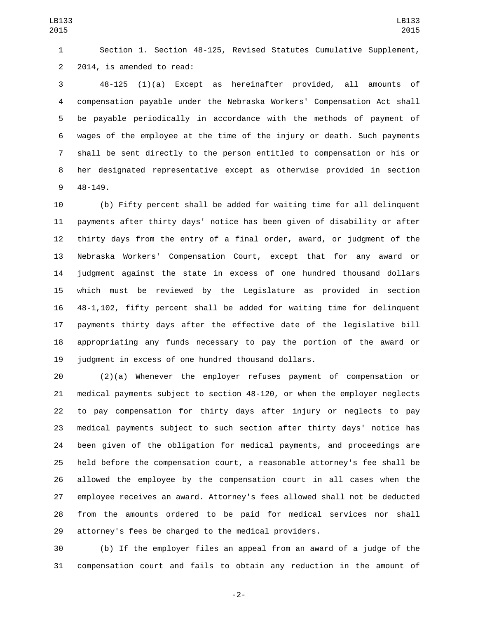Section 1. Section 48-125, Revised Statutes Cumulative Supplement, 2 2014, is amended to read:

 48-125 (1)(a) Except as hereinafter provided, all amounts of compensation payable under the Nebraska Workers' Compensation Act shall be payable periodically in accordance with the methods of payment of wages of the employee at the time of the injury or death. Such payments shall be sent directly to the person entitled to compensation or his or her designated representative except as otherwise provided in section 48-149.9

 (b) Fifty percent shall be added for waiting time for all delinquent payments after thirty days' notice has been given of disability or after thirty days from the entry of a final order, award, or judgment of the Nebraska Workers' Compensation Court, except that for any award or judgment against the state in excess of one hundred thousand dollars which must be reviewed by the Legislature as provided in section 48-1,102, fifty percent shall be added for waiting time for delinquent payments thirty days after the effective date of the legislative bill appropriating any funds necessary to pay the portion of the award or 19 judgment in excess of one hundred thousand dollars.

 (2)(a) Whenever the employer refuses payment of compensation or medical payments subject to section 48-120, or when the employer neglects to pay compensation for thirty days after injury or neglects to pay medical payments subject to such section after thirty days' notice has been given of the obligation for medical payments, and proceedings are held before the compensation court, a reasonable attorney's fee shall be allowed the employee by the compensation court in all cases when the employee receives an award. Attorney's fees allowed shall not be deducted from the amounts ordered to be paid for medical services nor shall attorney's fees be charged to the medical providers.

 (b) If the employer files an appeal from an award of a judge of the compensation court and fails to obtain any reduction in the amount of

-2-